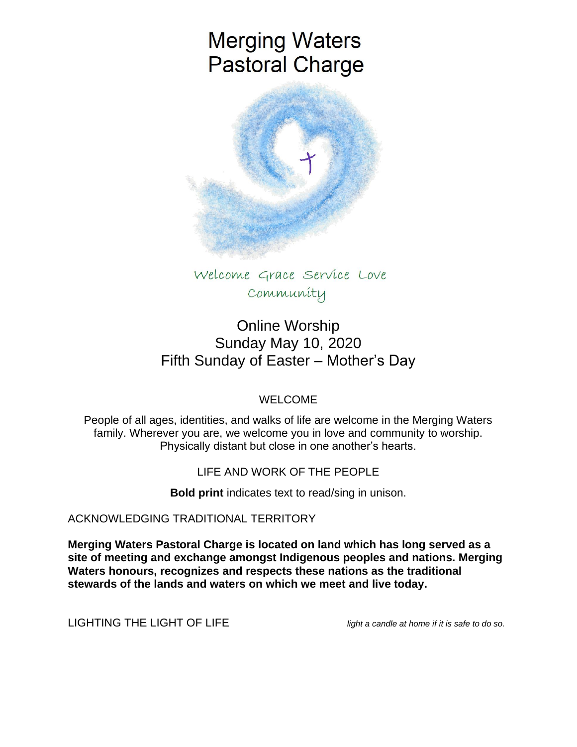# **Merging Waters Pastoral Charge**



Welcome Grace Service Love Community

## Online Worship Sunday May 10, 2020 Fifth Sunday of Easter – Mother's Day

## WELCOME

People of all ages, identities, and walks of life are welcome in the Merging Waters family. Wherever you are, we welcome you in love and community to worship. Physically distant but close in one another's hearts.

## LIFE AND WORK OF THE PEOPLE

**Bold print** indicates text to read/sing in unison.

ACKNOWLEDGING TRADITIONAL TERRITORY

**Merging Waters Pastoral Charge is located on land which has long served as a site of meeting and exchange amongst Indigenous peoples and nations. Merging Waters honours, recognizes and respects these nations as the traditional stewards of the lands and waters on which we meet and live today.**

LIGHTING THE LIGHT OF LIFE *light a candle at home if it is safe to do so.*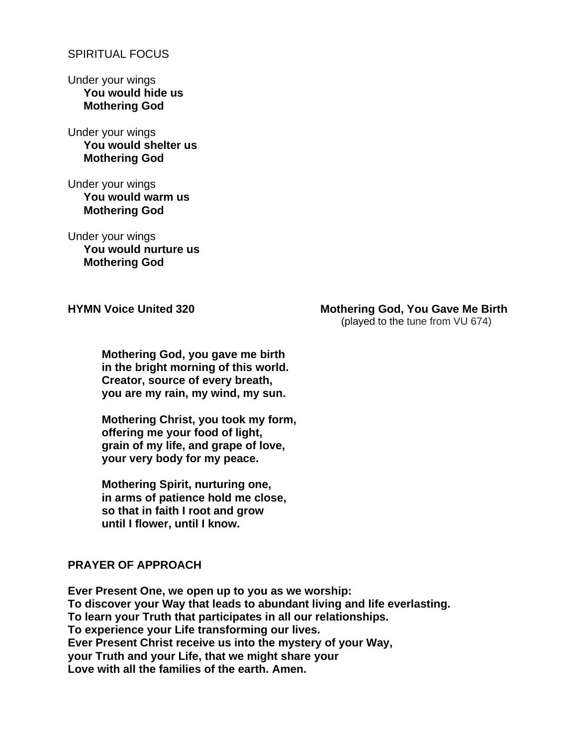#### SPIRITUAL FOCUS

Under your wings **You would hide us Mothering God**

Under your wings **You would shelter us Mothering God**

Under your wings  **You would warm us Mothering God**

Under your wings  **You would nurture us Mothering God**

### **HYMN Voice United 320 Mothering God, You Gave Me Birth**

(played to the tune from VU 674)

**Mothering God, you gave me birth in the bright morning of this world. Creator, source of every breath, you are my rain, my wind, my sun.**

**Mothering Christ, you took my form, offering me your food of light, grain of my life, and grape of love, your very body for my peace.**

**Mothering Spirit, nurturing one, in arms of patience hold me close, so that in faith I root and grow until I flower, until I know.**

#### **PRAYER OF APPROACH**

**Ever Present One, we open up to you as we worship: To discover your Way that leads to abundant living and life everlasting. To learn your Truth that participates in all our relationships. To experience your Life transforming our lives. Ever Present Christ receive us into the mystery of your Way, your Truth and your Life, that we might share your Love with all the families of the earth. Amen.**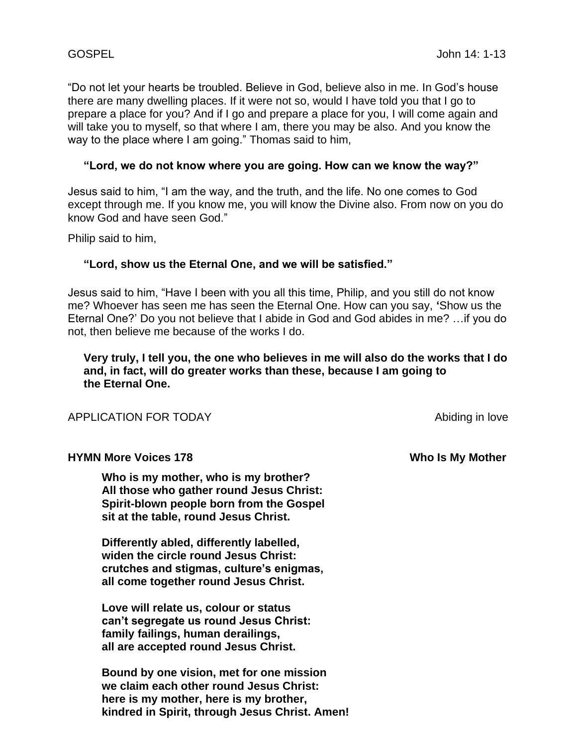"Do not let your hearts be troubled. Believe in God, believe also in me. In God's house there are many dwelling places. If it were not so, would I have told you that I go to prepare a place for you? And if I go and prepare a place for you, I will come again and will take you to myself, so that where I am, there you may be also. And you know the way to the place where I am going." Thomas said to him,

#### **"Lord, we do not know where you are going. How can we know the way?"**

Jesus said to him, "I am the way, and the truth, and the life. No one comes to God except through me. If you know me, you will know the Divine also. From now on you do know God and have seen God."

Philip said to him,

#### **"Lord, show us the Eternal One, and we will be satisfied."**

Jesus said to him, "Have I been with you all this time, Philip, and you still do not know me? Whoever has seen me has seen the Eternal One. How can you say, **'**Show us the Eternal One?' Do you not believe that I abide in God and God abides in me? …if you do not, then believe me because of the works I do.

 **Very truly, I tell you, the one who believes in me will also do the works that I do and, in fact, will do greater works than these, because I am going to the Eternal One.**

APPLICATION FOR TODAY APPLICATION FOR TODAY

#### **HYMN More Voices 178** Manual Structure of the Who Is My Mother

**Who is my mother, who is my brother? All those who gather round Jesus Christ: Spirit-blown people born from the Gospel sit at the table, round Jesus Christ.**

**Differently abled, differently labelled, widen the circle round Jesus Christ: crutches and stigmas, culture's enigmas, all come together round Jesus Christ.**

**Love will relate us, colour or status can't segregate us round Jesus Christ: family failings, human derailings, all are accepted round Jesus Christ.**

**Bound by one vision, met for one mission we claim each other round Jesus Christ: here is my mother, here is my brother, kindred in Spirit, through Jesus Christ. Amen!**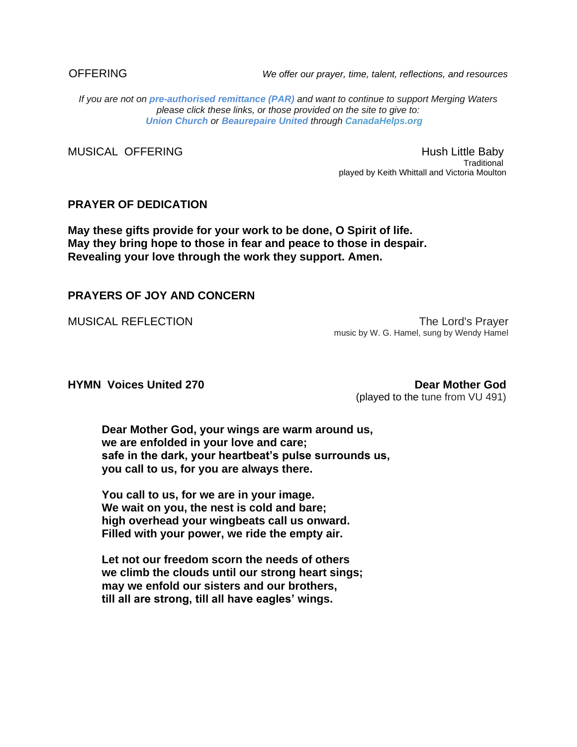OFFERING *We offer our prayer, time, talent, reflections, and resources*

*If you are not on pre-authorised [remittance \(PAR\)](http://mergingwaters.ca/mt-content/uploads/2020/03/form_par-authorization.pdf) and want to continue to support Merging Waters please click these links, or those provided on the site to give to: [Union Church](https://www.canadahelps.org/en/charities/union-church-ste-anne-de-bellevue/) or [Beaurepaire United](https://www.canadahelps.org/en/charities/beaurepaire-united-church/) through [CanadaHelps.org](http://www.canadahelps.org/)* 

MUSICAL OFFERING<br>Fraditional Hush Little Baby Traditional played by Keith Whittall and Victoria Moulton

#### **PRAYER OF DEDICATION**

**May these gifts provide for your work to be done, O Spirit of life. May they bring hope to those in fear and peace to those in despair. Revealing your love through the work they support. Amen.**

#### **PRAYERS OF JOY AND CONCERN**

MUSICAL REFLECTION The Lord's Prayer music by W. G. Hamel, sung by Wendy Hamel

**HYMN Voices United 270 Dear Mother God** (played to the tune from VU 491)

**Dear Mother God, your wings are warm around us, we are enfolded in your love and care; safe in the dark, your heartbeat's pulse surrounds us, you call to us, for you are always there.**

**You call to us, for we are in your image. We wait on you, the nest is cold and bare; high overhead your wingbeats call us onward. Filled with your power, we ride the empty air.**

**Let not our freedom scorn the needs of others we climb the clouds until our strong heart sings; may we enfold our sisters and our brothers, till all are strong, till all have eagles' wings.**